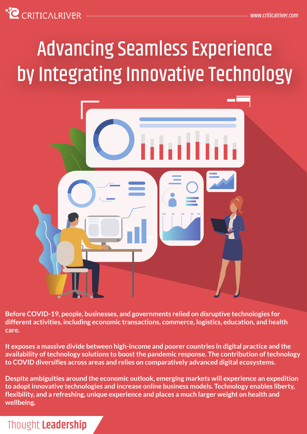# **C** CRITICALRIVER

# Advancing Seamless Experience by Integrating Innovative Technology



**Before COVID-19, people, businesses, and governments relied on disruptive technologies for different activities, including economic transactions, commerce, logistics, education, and health care.**

**It exposes a massive divide between high-income and poorer countries in digital practice and the availability of technology solutions to boost the pandemic response. The contribution of technology to COVID diversifies across areas and relies on comparatively advanced digital ecosystems.** 

**Despite ambiguities around the economic outlook, emerging markets will experience an expedition to adopt innovative technologies and increase online business models. Technology enables liberty, flexibility, and a refreshing, unique experience and places a much larger weight on health and wellbeing.** 

# Thought **Leadership**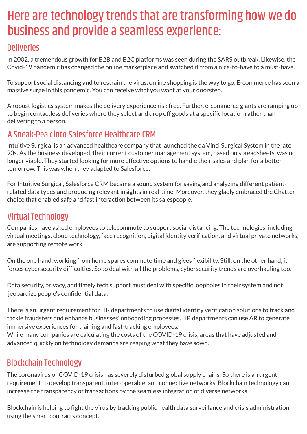# Here are technology trends that are transforming how we do business and provide a seamless experience:

#### **Deliveries**

In 2002, a tremendous growth for B2B and B2C platforms was seen during the SARS outbreak. Likewise, the Covid-19 pandemic has changed the online marketplace and switched it from a nice-to-have to a must-have.

To support social distancing and to restrain the virus, online shopping is the way to go. E-commerce has seen a massive surge in this pandemic. You can receive what you want at your doorstep.

A robust logistics system makes the delivery experience risk free. Further, e-commerce giants are ramping up to begin contactless deliveries where they select and drop off goods at a specific location rather than delivering to a person.

# A Sneak-Peak into Salesforce Healthcare CRM

Intuitive Surgical is an advanced healthcare company that launched the da Vinci Surgical System in the late 90s. As the business developed, their current customer management system, based on spreadsheets, was no longer viable. They started looking for more effective options to handle their sales and plan for a better tomorrow. This was when they adapted to Salesforce.

For Intuitive Surgical, Salesforce CRM became a sound system for saving and analyzing different patientrelated data types and producing relevant insights in real-time. Moreover, they gladly embraced the Chatter choice that enabled safe and fast interaction between its salespeople.

# Virtual Technology

Companies have asked employees to telecommute to support social distancing. The technologies, including virtual meetings, cloud technology, face recognition, digital identity verification, and virtual private networks, are supporting remote work.

On the one hand, working from home spares commute time and gives flexibility. Still, on the other hand, it forces cybersecurity difficulties. So to deal with all the problems, cybersecurity trends are overhauling too.

Data security, privacy, and timely tech support must deal with specific loopholes in their system and not jeopardize people's confidential data.

There is an urgent requirement for HR departments to use digital identity verification solutions to track and tackle fraudsters and enhance businesses' onboarding processes. HR departments can use AR to generate immersive experiences for training and fast-tracking employees.

While many companies are calculating the costs of the COVID-19 crisis, areas that have adjusted and advanced quickly on technology demands are reaping what they have sown.

# Blockchain Technology

The coronavirus or COVID-19 crisis has severely disturbed global supply chains. So there is an urgent requirement to develop transparent, inter-operable, and connective networks. Blockchain technology can increase the transparency of transactions by the seamless integration of diverse networks.

Blockchain is helping to fight the virus by tracking public health data surveillance and crisis administration using the smart contracts concept.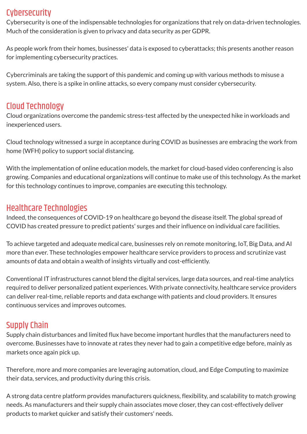# **Cybersecurity**

Cybersecurity is one of the indispensable technologies for organizations that rely on data-driven technologies. Much of the consideration is given to privacy and data security as per GDPR.

As people work from their homes, businesses' data is exposed to cyberattacks; this presents another reason for implementing cybersecurity practices.

Cybercriminals are taking the support of this pandemic and coming up with various methods to misuse a system. Also, there is a spike in online attacks, so every company must consider cybersecurity.

# Cloud Technology

Cloud organizations overcome the pandemic stress-test affected by the unexpected hike in workloads and inexperienced users.

Cloud technology witnessed a surge in acceptance during COVID as businesses are embracing the work from home (WFH) policy to support social distancing.

With the implementation of online education models, the market for cloud-based video conferencing is also growing. Companies and educational organizations will continue to make use of this technology. As the market for this technology continues to improve, companies are executing this technology.

#### Healthcare Technologies

Indeed, the consequences of COVID-19 on healthcare go beyond the disease itself. The global spread of COVID has created pressure to predict patients' surges and their influence on individual care facilities.

To achieve targeted and adequate medical care, businesses rely on remote monitoring, IoT, Big Data, and AI more than ever. These technologies empower healthcare service providers to process and scrutinize vast amounts of data and obtain a wealth of insights virtually and cost-efficiently.

Conventional IT infrastructures cannot blend the digital services, large data sources, and real-time analytics required to deliver personalized patient experiences. With private connectivity, healthcare service providers can deliver real-time, reliable reports and data exchange with patients and cloud providers. It ensures continuous services and improves outcomes.

# Supply Chain

Supply chain disturbances and limited flux have become important hurdles that the manufacturers need to overcome. Businesses have to innovate at rates they never had to gain a competitive edge before, mainly as markets once again pick up.

Therefore, more and more companies are leveraging automation, cloud, and Edge Computing to maximize their data, services, and productivity during this crisis.

A strong data centre platform provides manufacturers quickness, flexibility, and scalability to match growing needs. As manufacturers and their supply chain associates move closer, they can cost-effectively deliver products to market quicker and satisfy their customers' needs.